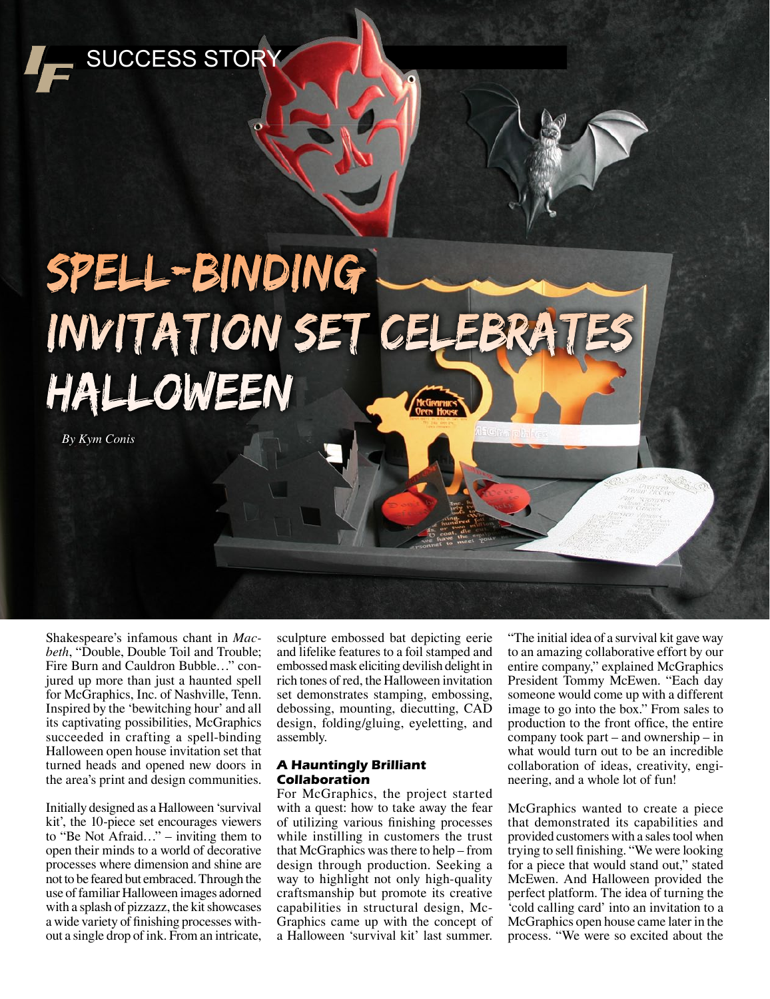

# Spell-Binding INVITATION SET CELEBRAT Halloween

 *By Kym Conis*

Shakespeare's infamous chant in *Macbeth*, "Double, Double Toil and Trouble; Fire Burn and Cauldron Bubble…" conjured up more than just a haunted spell for McGraphics, Inc. of Nashville, Tenn. Inspired by the 'bewitching hour' and all its captivating possibilities, McGraphics succeeded in crafting a spell-binding Halloween open house invitation set that turned heads and opened new doors in the area's print and design communities.

Initially designed as a Halloween 'survival kit', the 10-piece set encourages viewers to "Be Not Afraid…" – inviting them to open their minds to a world of decorative processes where dimension and shine are not to be feared but embraced. Through the use of familiar Halloween images adorned with a splash of pizzazz, the kit showcases a wide variety of finishing processes without a single drop of ink. From an intricate,

sculpture embossed bat depicting eerie and lifelike features to a foil stamped and embossed mask eliciting devilish delight in rich tones of red, the Halloween invitation set demonstrates stamping, embossing, debossing, mounting, diecutting, CAD design, folding/gluing, eyeletting, and assembly.

## **A Hauntingly Brilliant Collaboration**

For McGraphics, the project started with a quest: how to take away the fear of utilizing various finishing processes while instilling in customers the trust that McGraphics was there to help – from design through production. Seeking a way to highlight not only high-quality craftsmanship but promote its creative capabilities in structural design, Mc-Graphics came up with the concept of a Halloween 'survival kit' last summer.

"The initial idea of a survival kit gave way to an amazing collaborative effort by our entire company," explained McGraphics President Tommy McEwen. "Each day someone would come up with a different image to go into the box." From sales to production to the front office, the entire company took part – and ownership – in what would turn out to be an incredible collaboration of ideas, creativity, engineering, and a whole lot of fun!

McGraphics wanted to create a piece that demonstrated its capabilities and provided customers with a sales tool when trying to sell finishing. "We were looking for a piece that would stand out," stated McEwen. And Halloween provided the perfect platform. The idea of turning the 'cold calling card' into an invitation to a McGraphics open house came later in the process. "We were so excited about the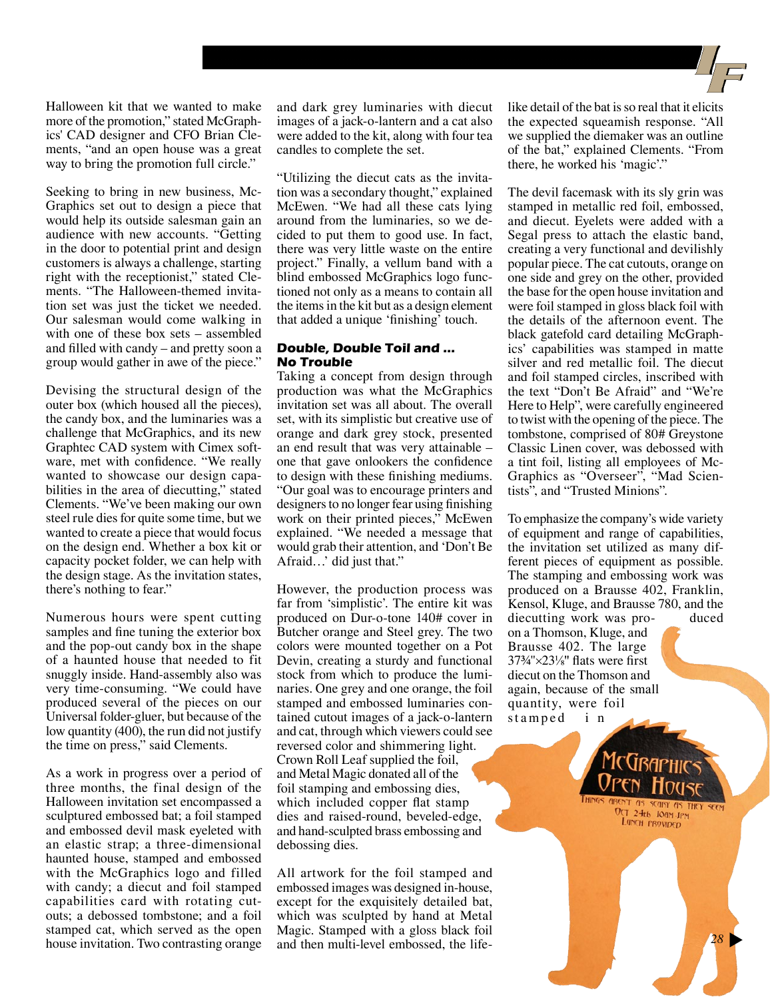Halloween kit that we wanted to make more of the promotion," stated McGraphics' CAD designer and CFO Brian Clements, "and an open house was a great way to bring the promotion full circle."

Seeking to bring in new business, Mc-Graphics set out to design a piece that would help its outside salesman gain an audience with new accounts. "Getting in the door to potential print and design customers is always a challenge, starting right with the receptionist," stated Clements. "The Halloween-themed invitation set was just the ticket we needed. Our salesman would come walking in with one of these box sets – assembled and filled with candy – and pretty soon a group would gather in awe of the piece."

Devising the structural design of the outer box (which housed all the pieces), the candy box, and the luminaries was a challenge that McGraphics, and its new Graphtec CAD system with Cimex software, met with confidence. "We really wanted to showcase our design capabilities in the area of diecutting," stated Clements. "We've been making our own steel rule dies for quite some time, but we wanted to create a piece that would focus on the design end. Whether a box kit or capacity pocket folder, we can help with the design stage. As the invitation states, there's nothing to fear."

Numerous hours were spent cutting samples and fine tuning the exterior box and the pop-out candy box in the shape of a haunted house that needed to fit snuggly inside. Hand-assembly also was very time-consuming. "We could have produced several of the pieces on our Universal folder-gluer, but because of the low quantity (400), the run did not justify the time on press," said Clements.

As a work in progress over a period of three months, the final design of the Halloween invitation set encompassed a sculptured embossed bat; a foil stamped and embossed devil mask eyeleted with an elastic strap; a three-dimensional haunted house, stamped and embossed with the McGraphics logo and filled with candy; a diecut and foil stamped capabilities card with rotating cutouts; a debossed tombstone; and a foil stamped cat, which served as the open house invitation. Two contrasting orange and dark grey luminaries with diecut images of a jack-o-lantern and a cat also were added to the kit, along with four tea candles to complete the set.

"Utilizing the diecut cats as the invitation was a secondary thought," explained McEwen. "We had all these cats lying around from the luminaries, so we decided to put them to good use. In fact, there was very little waste on the entire project." Finally, a vellum band with a blind embossed McGraphics logo functioned not only as a means to contain all the items in the kit but as a design element that added a unique 'finishing' touch.

### **Double, Double Toil and … No Trouble**

Taking a concept from design through production was what the McGraphics invitation set was all about. The overall set, with its simplistic but creative use of orange and dark grey stock, presented an end result that was very attainable – one that gave onlookers the confidence to design with these finishing mediums. "Our goal was to encourage printers and designers to no longer fear using finishing work on their printed pieces," McEwen explained. "We needed a message that would grab their attention, and 'Don't Be Afraid…' did just that."

However, the production process was far from 'simplistic'. The entire kit was produced on Dur-o-tone 140# cover in Butcher orange and Steel grey. The two colors were mounted together on a Pot Devin, creating a sturdy and functional stock from which to produce the luminaries. One grey and one orange, the foil stamped and embossed luminaries contained cutout images of a jack-o-lantern and cat, through which viewers could see reversed color and shimmering light. Crown Roll Leaf supplied the foil, and Metal Magic donated all of the foil stamping and embossing dies, which included copper flat stamp dies and raised-round, beveled-edge, and hand-sculpted brass embossing and debossing dies.

All artwork for the foil stamped and embossed images was designed in-house, except for the exquisitely detailed bat, which was sculpted by hand at Metal Magic. Stamped with a gloss black foil and then multi-level embossed, the lifelike detail of the bat is so real that it elicits the expected squeamish response. "All we supplied the diemaker was an outline of the bat," explained Clements. "From there, he worked his 'magic'."

The devil facemask with its sly grin was stamped in metallic red foil, embossed, and diecut. Eyelets were added with a Segal press to attach the elastic band, creating a very functional and devilishly popular piece. The cat cutouts, orange on one side and grey on the other, provided the base for the open house invitation and were foil stamped in gloss black foil with the details of the afternoon event. The black gatefold card detailing McGraphics' capabilities was stamped in matte silver and red metallic foil. The diecut and foil stamped circles, inscribed with the text "Don't Be Afraid" and "We're Here to Help", were carefully engineered to twist with the opening of the piece. The tombstone, comprised of 80# Greystone Classic Linen cover, was debossed with a tint foil, listing all employees of Mc-Graphics as "Overseer", "Mad Scientists", and "Trusted Minions".

To emphasize the company's wide variety of equipment and range of capabilities, the invitation set utilized as many different pieces of equipment as possible. The stamping and embossing work was produced on a Brausse 402, Franklin, Kensol, Kluge, and Brausse 780, and the diecutting work was pro- duced on a Thomson, Kluge, and Brausse 402. The large 37¾"×23⅛" flats were first diecut on the Thomson and again, because of the small quantity, were foil stamped in

> $0<sub>CT</sub>$  24th JOAM JPM LUNCH PROVIDED

> > *28*